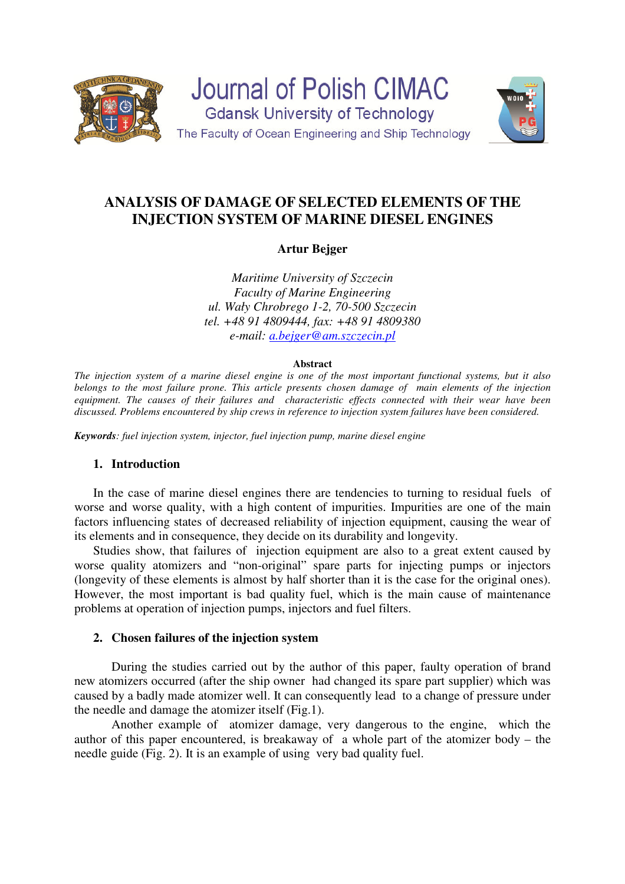

# **ANALYSIS OF DAMAGE OF SELECTED ELEMENTS OF THE INJECTION SYSTEM OF MARINE DIESEL ENGINES**

# **Artur Bejger**

*Maritime University of Szczecin Faculty of Marine Engineering ul. Wały Chrobrego 1-2, 70-500 Szczecin tel. +48 91 4809444, fax: +48 91 4809380 e-mail: a.bejger@am.szczecin.pl*

#### **Abstract**

*The injection system of a marine diesel engine is one of the most important functional systems, but it also belongs to the most failure prone. This article presents chosen damage of main elements of the injection equipment. The causes of their failures and characteristic effects connected with their wear have been discussed. Problems encountered by ship crews in reference to injection system failures have been considered.* 

*Keywords: fuel injection system, injector, fuel injection pump, marine diesel engine* 

## **1. Introduction**

In the case of marine diesel engines there are tendencies to turning to residual fuels of worse and worse quality, with a high content of impurities. Impurities are one of the main factors influencing states of decreased reliability of injection equipment, causing the wear of its elements and in consequence, they decide on its durability and longevity.

Studies show, that failures of injection equipment are also to a great extent caused by worse quality atomizers and "non-original" spare parts for injecting pumps or injectors (longevity of these elements is almost by half shorter than it is the case for the original ones). However, the most important is bad quality fuel, which is the main cause of maintenance problems at operation of injection pumps, injectors and fuel filters.

## **2. Chosen failures of the injection system**

During the studies carried out by the author of this paper, faulty operation of brand new atomizers occurred (after the ship owner had changed its spare part supplier) which was caused by a badly made atomizer well. It can consequently lead to a change of pressure under the needle and damage the atomizer itself (Fig.1).

 Another example of atomizer damage, very dangerous to the engine, which the author of this paper encountered, is breakaway of a whole part of the atomizer body – the needle guide (Fig. 2). It is an example of using very bad quality fuel.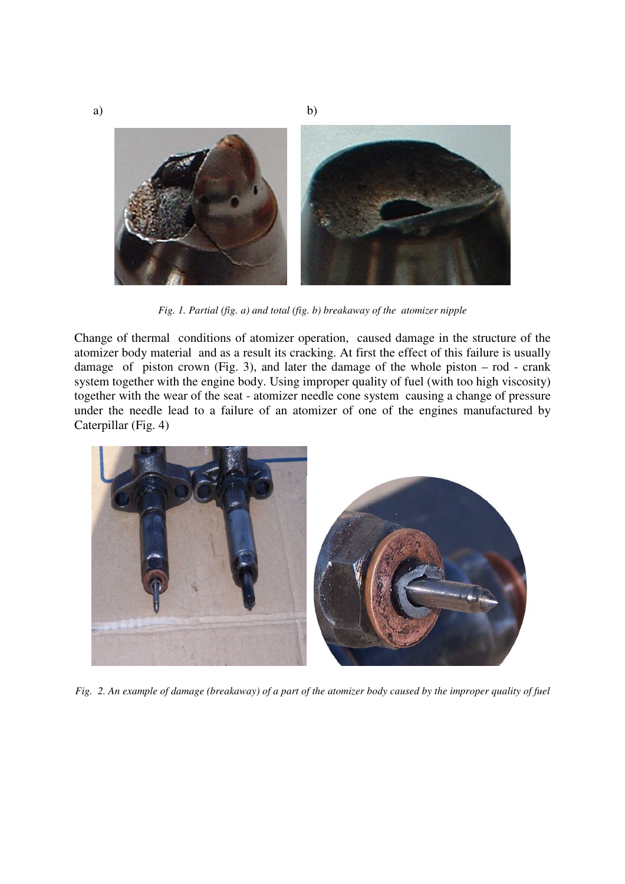

*Fig. 1. Partial (fig. a) and total (fig. b) breakaway of the atomizer nipple* 

Change of thermal conditions of atomizer operation, caused damage in the structure of the atomizer body material and as a result its cracking. At first the effect of this failure is usually damage of piston crown (Fig. 3), and later the damage of the whole piston  $-$  rod  $-$  crank system together with the engine body. Using improper quality of fuel (with too high viscosity) together with the wear of the seat - atomizer needle cone system causing a change of pressure under the needle lead to a failure of an atomizer of one of the engines manufactured by Caterpillar (Fig. 4)



*Fig. 2. An example of damage (breakaway) of a part of the atomizer body caused by the improper quality of fuel*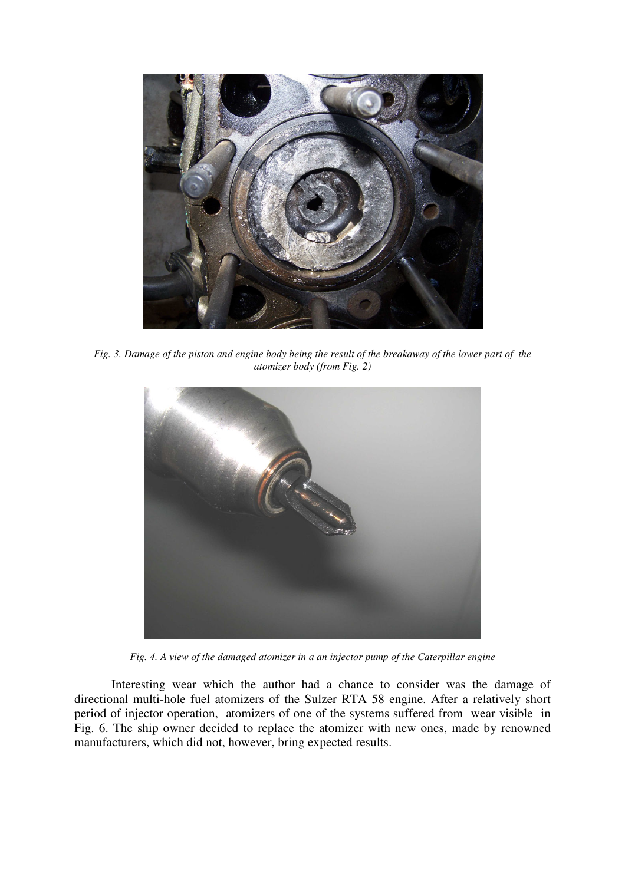

*Fig. 3. Damage of the piston and engine body being the result of the breakaway of the lower part of the atomizer body (from Fig. 2)* 



*Fig. 4. A view of the damaged atomizer in a an injector pump of the Caterpillar engine* 

 Interesting wear which the author had a chance to consider was the damage of directional multi-hole fuel atomizers of the Sulzer RTA 58 engine. After a relatively short period of injector operation, atomizers of one of the systems suffered from wear visible in Fig. 6. The ship owner decided to replace the atomizer with new ones, made by renowned manufacturers, which did not, however, bring expected results.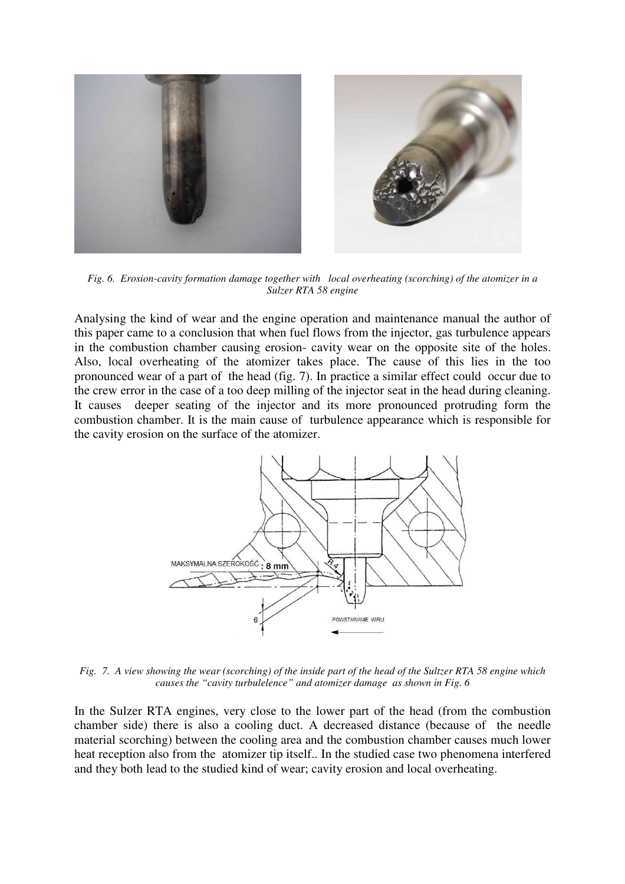

*Fig. 6. Erosion-cavity formation damage together with local overheating (scorching) of the atomizer in a Sulzer RTA 58 engine* 

Analysing the kind of wear and the engine operation and maintenance manual the author of this paper came to a conclusion that when fuel flows from the injector, gas turbulence appears in the combustion chamber causing erosion- cavity wear on the opposite site of the holes. Also, local overheating of the atomizer takes place. The cause of this lies in the too pronounced wear of a part of the head (fig. 7). In practice a similar effect could occur due to the crew error in the case of a too deep milling of the injector seat in the head during cleaning. It causes deeper seating of the injector and its more pronounced protruding form the combustion chamber. It is the main cause of turbulence appearance which is responsible for the cavity erosion on the surface of the atomizer.



*Fig. 7. A view showing the wear (scorching) of the inside part of the head of the Sultzer RTA 58 engine which causes the "cavity turbulelence" and atomizer damage as shown in Fig. 6* 

In the Sulzer RTA engines, very close to the lower part of the head (from the combustion chamber side) there is also a cooling duct. A decreased distance (because of the needle material scorching) between the cooling area and the combustion chamber causes much lower heat reception also from the atomizer tip itself.. In the studied case two phenomena interfered and they both lead to the studied kind of wear; cavity erosion and local overheating.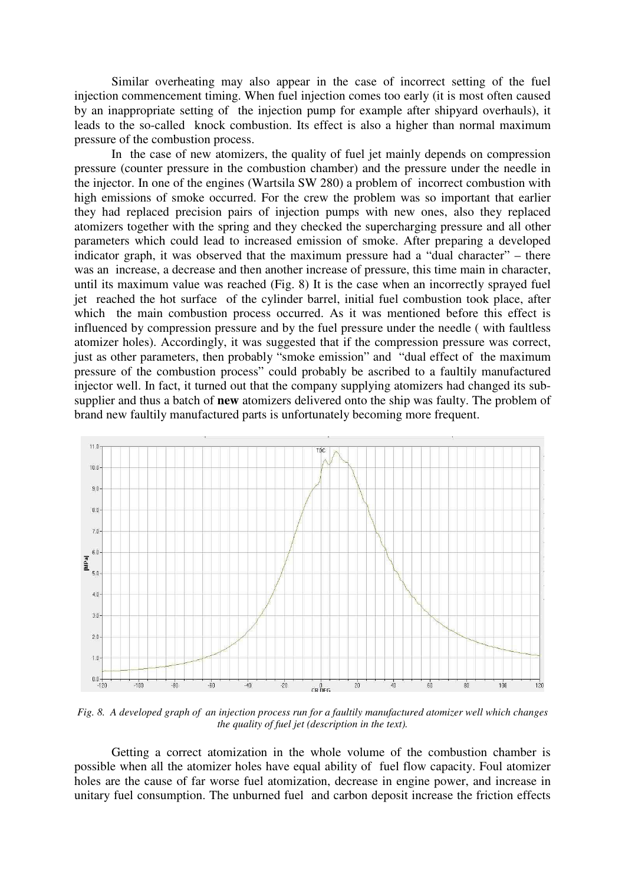Similar overheating may also appear in the case of incorrect setting of the fuel injection commencement timing. When fuel injection comes too early (it is most often caused by an inappropriate setting of the injection pump for example after shipyard overhauls), it leads to the so-called knock combustion. Its effect is also a higher than normal maximum pressure of the combustion process.

In the case of new atomizers, the quality of fuel jet mainly depends on compression pressure (counter pressure in the combustion chamber) and the pressure under the needle in the injector. In one of the engines (Wartsila SW 280) a problem of incorrect combustion with high emissions of smoke occurred. For the crew the problem was so important that earlier they had replaced precision pairs of injection pumps with new ones, also they replaced atomizers together with the spring and they checked the supercharging pressure and all other parameters which could lead to increased emission of smoke. After preparing a developed indicator graph, it was observed that the maximum pressure had a "dual character" – there was an increase, a decrease and then another increase of pressure, this time main in character, until its maximum value was reached (Fig. 8) It is the case when an incorrectly sprayed fuel jet reached the hot surface of the cylinder barrel, initial fuel combustion took place, after which the main combustion process occurred. As it was mentioned before this effect is influenced by compression pressure and by the fuel pressure under the needle ( with faultless atomizer holes). Accordingly, it was suggested that if the compression pressure was correct, just as other parameters, then probably "smoke emission" and "dual effect of the maximum pressure of the combustion process" could probably be ascribed to a faultily manufactured injector well. In fact, it turned out that the company supplying atomizers had changed its subsupplier and thus a batch of **new** atomizers delivered onto the ship was faulty. The problem of brand new faultily manufactured parts is unfortunately becoming more frequent.



*Fig. 8. A developed graph of an injection process run for a faultily manufactured atomizer well which changes the quality of fuel jet (description in the text).*

 Getting a correct atomization in the whole volume of the combustion chamber is possible when all the atomizer holes have equal ability of fuel flow capacity. Foul atomizer holes are the cause of far worse fuel atomization, decrease in engine power, and increase in unitary fuel consumption. The unburned fuel and carbon deposit increase the friction effects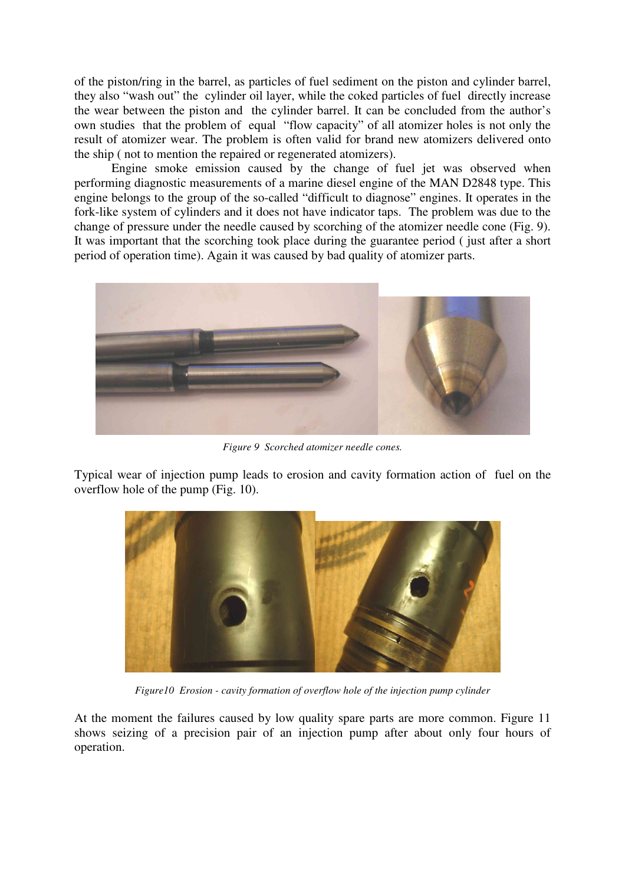of the piston/ring in the barrel, as particles of fuel sediment on the piston and cylinder barrel, they also "wash out" the cylinder oil layer, while the coked particles of fuel directly increase the wear between the piston and the cylinder barrel. It can be concluded from the author's own studies that the problem of equal "flow capacity" of all atomizer holes is not only the result of atomizer wear. The problem is often valid for brand new atomizers delivered onto the ship ( not to mention the repaired or regenerated atomizers).

Engine smoke emission caused by the change of fuel jet was observed when performing diagnostic measurements of a marine diesel engine of the MAN D2848 type. This engine belongs to the group of the so-called "difficult to diagnose" engines. It operates in the fork-like system of cylinders and it does not have indicator taps. The problem was due to the change of pressure under the needle caused by scorching of the atomizer needle cone (Fig. 9). It was important that the scorching took place during the guarantee period ( just after a short period of operation time). Again it was caused by bad quality of atomizer parts.



*Figure 9 Scorched atomizer needle cones.* 

Typical wear of injection pump leads to erosion and cavity formation action of fuel on the overflow hole of the pump (Fig. 10).



*Figure10 Erosion - cavity formation of overflow hole of the injection pump cylinder* 

At the moment the failures caused by low quality spare parts are more common. Figure 11 shows seizing of a precision pair of an injection pump after about only four hours of operation.